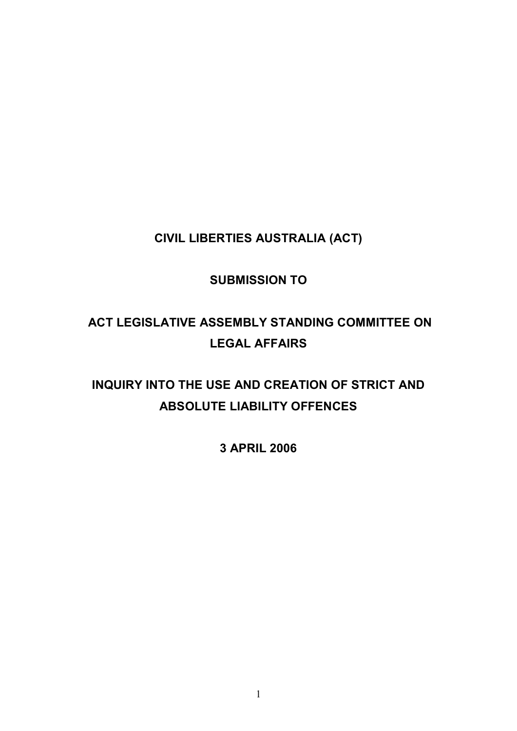**CIVIL LIBERTIES AUSTRALIA (ACT)**

# **SUBMISSION TO**

# **ACT LEGISLATIVE ASSEMBLY STANDING COMMITTEE ON LEGAL AFFAIRS**

# **INQUIRY INTO THE USE AND CREATION OF STRICT AND ABSOLUTE LIABILITY OFFENCES**

**3 APRIL 2006**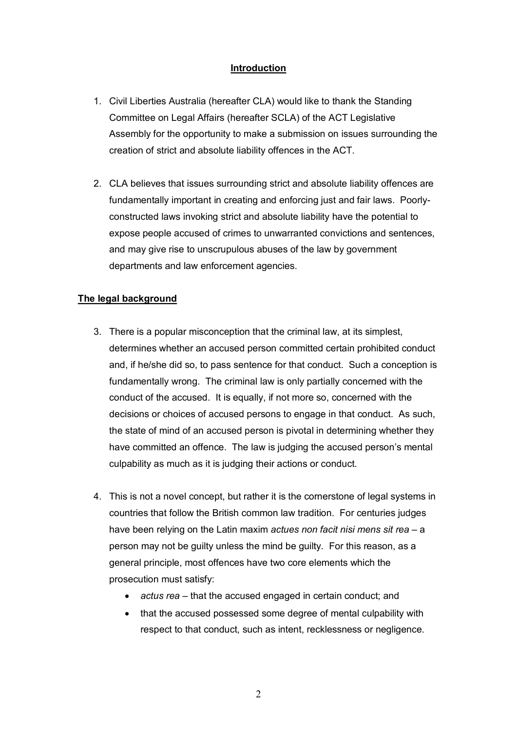# **Introduction**

- 1. Civil Liberties Australia (hereafter CLA) would like to thank the Standing Committee on Legal Affairs (hereafter SCLA) of the ACT Legislative Assembly for the opportunity to make a submission on issues surrounding the creation of strict and absolute liability offences in the ACT.
- 2. CLA believes that issues surrounding strict and absolute liability offences are fundamentally important in creating and enforcing just and fair laws. Poorlyconstructed laws invoking strict and absolute liability have the potential to expose people accused of crimes to unwarranted convictions and sentences, and may give rise to unscrupulous abuses of the law by government departments and law enforcement agencies.

### **The legal background**

- 3. There is a popular misconception that the criminal law, at its simplest, determines whether an accused person committed certain prohibited conduct and, if he/she did so, to pass sentence for that conduct. Such a conception is fundamentally wrong. The criminal law is only partially concerned with the conduct of the accused. It is equally, if not more so, concerned with the decisions or choices of accused persons to engage in that conduct. As such, the state of mind of an accused person is pivotal in determining whether they have committed an offence. The law is judging the accused person's mental culpability as much as it is judging their actions or conduct.
- 4. This is not a novel concept, but rather it is the cornerstone of legal systems in countries that follow the British common law tradition. For centuries judges have been relying on the Latin maxim *actues non facit nisi mens sit rea* – a person may not be guilty unless the mind be guilty. For this reason, as a general principle, most offences have two core elements which the prosecution must satisfy:
	- · *actus rea –* that the accused engaged in certain conduct; and
	- that the accused possessed some degree of mental culpability with respect to that conduct, such as intent, recklessness or negligence.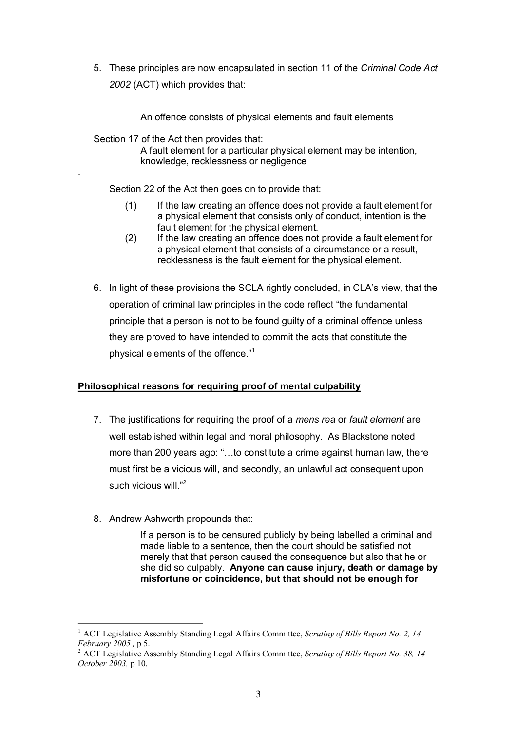5. These principles are now encapsulated in section 11 of the *Criminal Code Act 2002* (ACT) which provides that:

An offence consists of physical elements and fault elements

Section 17 of the Act then provides that:

.

A fault element for a particular physical element may be intention, knowledge, recklessness or negligence

Section 22 of the Act then goes on to provide that:

- (1) If the law creating an offence does not provide a fault element for a [physical element](http://www.austlii.edu.au/au/legis/act/consol_act/cc200294/s14.html) that consists only of [conduct,](http://www.austlii.edu.au/au/legis/act/consol_act/cc200294/s13.html) [intention](http://www.austlii.edu.au/au/legis/act/consol_act/cc200294/s18.html) is the fault element for the [physical element.](http://www.austlii.edu.au/au/legis/act/consol_act/cc200294/s14.html)
- (2) If the law creating an offence does not provide a fault element for a [physical element](http://www.austlii.edu.au/au/legis/act/consol_act/cc200294/s14.html) that consists of a circumstance or a result, recklessness is the fault element for the [physical element.](http://www.austlii.edu.au/au/legis/act/consol_act/cc200294/s14.html)
- 6. In light of these provisions the SCLA rightly concluded, in CLA's view, that the operation of criminal law principles in the code reflect "the fundamental principle that a person is not to be found guilty of a criminal offence unless they are proved to have intended to commit the acts that constitute the physical elements of the offence."<sup>1</sup>

# **Philosophical reasons for requiring proof of mental culpability**

- 7. The justifications for requiring the proof of a *mens rea* or *fault element* are well established within legal and moral philosophy. As Blackstone noted more than 200 years ago: "…to constitute a crime against human law, there must first be a vicious will, and secondly, an unlawful act consequent upon such vicious will  $"2$
- 8. Andrew Ashworth propounds that:

If a person is to be censured publicly by being labelled a criminal and made liable to a sentence, then the court should be satisfied not merely that that person caused the consequence but also that he or she did so culpably. **Anyone can cause injury, death or damage by misfortune or coincidence, but that should not be enough for**

<sup>1</sup> ACT Legislative Assembly Standing Legal Affairs Committee, *Scrutiny of Bills Report No. 2, 14* 

*February <sup>2005</sup> ,* p 5. <sup>2</sup> ACT Legislative Assembly Standing Legal Affairs Committee, *Scrutiny of Bills Report No. 38, <sup>14</sup> October 2003,* p 10.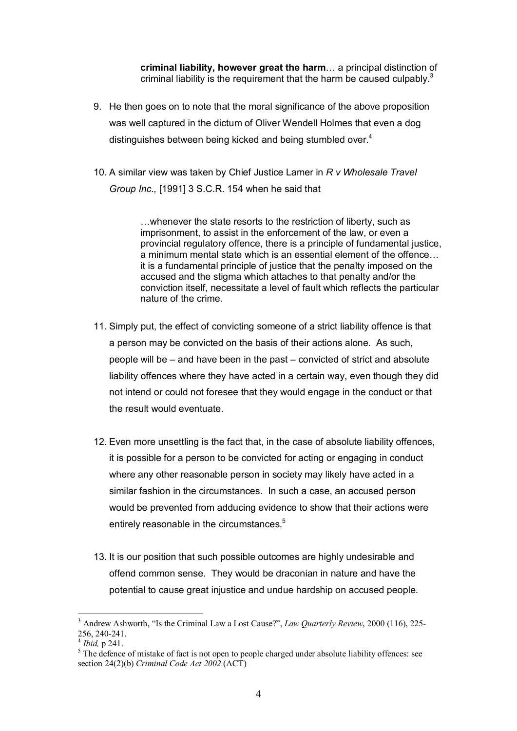**criminal liability, however great the harm**… a principal distinction of criminal liability is the requirement that the harm be caused culpably. $3$ 

- 9. He then goes on to note that the moral significance of the above proposition was well captured in the dictum of Oliver Wendell Holmes that even a dog distinguishes between being kicked and being stumbled over.<sup>4</sup>
- 10. A similar view was taken by Chief Justice Lamer in *R v Wholesale Travel Group Inc.,* [1991] 3 S.C.R. 154 when he said that

…whenever the state resorts to the restriction of liberty, such as imprisonment, to assist in the enforcement of the law, or even a provincial regulatory offence, there is a principle of fundamental justice, a minimum mental state which is an essential element of the offence… it is a fundamental principle of justice that the penalty imposed on the accused and the stigma which attaches to that penalty and/or the conviction itself, necessitate a level of fault which reflects the particular nature of the crime.

- 11. Simply put, the effect of convicting someone of a strict liability offence is that a person may be convicted on the basis of their actions alone. As such, people will be – and have been in the past – convicted of strict and absolute liability offences where they have acted in a certain way, even though they did not intend or could not foresee that they would engage in the conduct or that the result would eventuate.
- 12. Even more unsettling is the fact that, in the case of absolute liability offences, it is possible for a person to be convicted for acting or engaging in conduct where any other reasonable person in society may likely have acted in a similar fashion in the circumstances. In such a case, an accused person would be prevented from adducing evidence to show that their actions were entirely reasonable in the circumstances.<sup>5</sup>
- 13. It is our position that such possible outcomes are highly undesirable and offend common sense. They would be draconian in nature and have the potential to cause great injustice and undue hardship on accused people.

<sup>3</sup> Andrew Ashworth, "Is the Criminal Law a Lost Cause?", *Law Quarterly Review*, 2000 (116), 225 256, 240-241.<br><sup>4</sup> *Ibid*, p 241.<br><sup>5</sup> The defence of mistake of fact is not open to people charged under absolute liability offences: see

section 24(2)(b) *Criminal Code Act 2002* (ACT)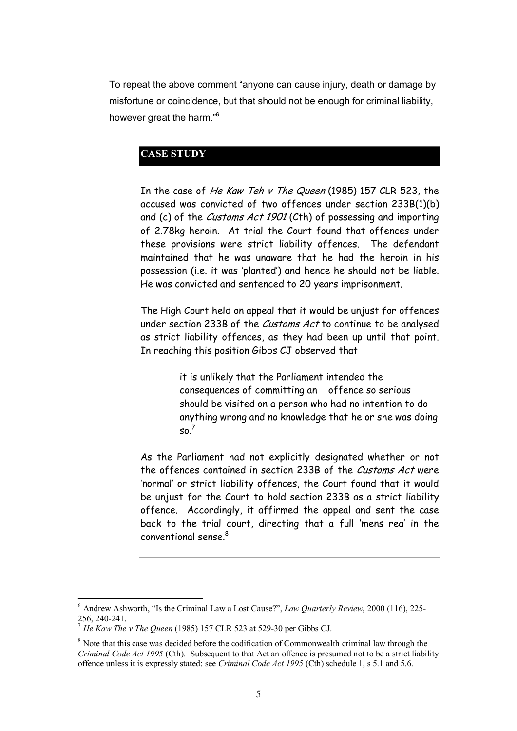To repeat the above comment "anyone can cause injury, death or damage by misfortune or coincidence, but that should not be enough for criminal liability, however great the harm."<sup>6</sup>

# **CASE STUDY**

In the case of He Kaw Teh v The Queen (1985) 157 CLR 523, the accused was convicted of two offences under section 233B(1)(b) and (c) of the *Customs Act 1901* (Cth) of possessing and importing of 2.78kg heroin. At trial the Court found that offences under these provisions were strict liability offences. The defendant maintained that he was unaware that he had the heroin in his possession (i.e. it was 'planted') and hence he should not be liable. He was convicted and sentenced to 20 years imprisonment.

The High Court held on appeal that it would be unjust for offences under section 233B of the *Customs Act* to continue to be analysed as strict liability offences, as they had been up until that point. In reaching this position Gibbs CJ observed that

> it is unlikely that the Parliament intended the consequences of committing an offence so serious should be visited on a person who had no intention to do anything wrong and no knowledge that he or she was doing  $so.<sup>7</sup>$

As the Parliament had not explicitly designated whether or not the offences contained in section 233B of the Customs Act were 'normal' or strict liability offences, the Court found that it would be unjust for the Court to hold section 233B as a strict liability offence. Accordingly, it affirmed the appeal and sent the case back to the trial court, directing that a full 'mens rea' in the conventional sense.<sup>8</sup>

<sup>6</sup> Andrew Ashworth, "Is the Criminal Law a Lost Cause?", *Law Quarterly Review*, 2000 (116), 225 256, 240241. <sup>7</sup> *He Kaw The <sup>v</sup> The Queen* (1985) 157 CLR 523 at 52930 per Gibbs CJ.

<sup>&</sup>lt;sup>8</sup> Note that this case was decided before the codification of Commonwealth criminal law through the *Criminal Code Act 1995* (Cth). Subsequent to that Act an offence is presumed not to be a strict liability offence unless it is expressly stated: see *Criminal Code Act 1995* (Cth) schedule 1, s 5.1 and 5.6.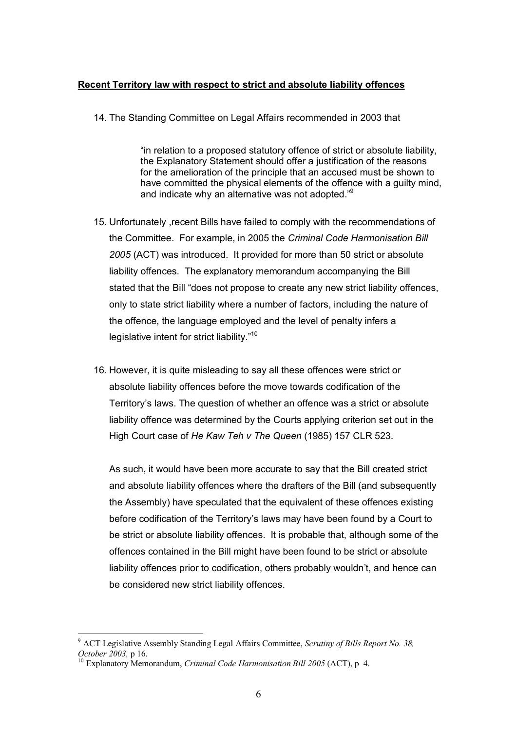#### **Recent Territory law with respect to strict and absolute liability offences**

14. The Standing Committee on Legal Affairs recommended in 2003 that

"in relation to a proposed statutory offence of strict or absolute liability, the Explanatory Statement should offer a justification of the reasons for the amelioration of the principle that an accused must be shown to have committed the physical elements of the offence with a guilty mind, and indicate why an alternative was not adopted."<sup>9</sup>

- 15. Unfortunately ,recent Bills have failed to comply with the recommendations of the Committee. For example, in 2005 the *Criminal Code Harmonisation Bill 2005* (ACT) was introduced. It provided for more than 50 strict or absolute liability offences. The explanatory memorandum accompanying the Bill stated that the Bill "does not propose to create any new strict liability offences, only to state strict liability where a number of factors, including the nature of the offence, the language employed and the level of penalty infers a legislative intent for strict liability."<sup>10</sup>
- 16. However, it is quite misleading to say all these offences were strict or absolute liability offences before the move towards codification of the Territory's laws. The question of whether an offence was a strict or absolute liability offence was determined by the Courts applying criterion set out in the High Court case of *He Kaw Teh v The Queen* (1985) 157 CLR 523.

As such, it would have been more accurate to say that the Bill created strict and absolute liability offences where the drafters of the Bill (and subsequently the Assembly) have speculated that the equivalent of these offences existing before codification of the Territory's laws may have been found by a Court to be strict or absolute liability offences. It is probable that, although some of the offences contained in the Bill might have been found to be strict or absolute liability offences prior to codification, others probably wouldn't, and hence can be considered new strict liability offences.

<sup>9</sup> ACT Legislative Assembly Standing Legal Affairs Committee, *Scrutiny of Bills Report No. 38, October 2003,* p 16.<br><sup>10</sup> Explanatory Memorandum, *Criminal Code Harmonisation Bill 2005* (ACT), p 4.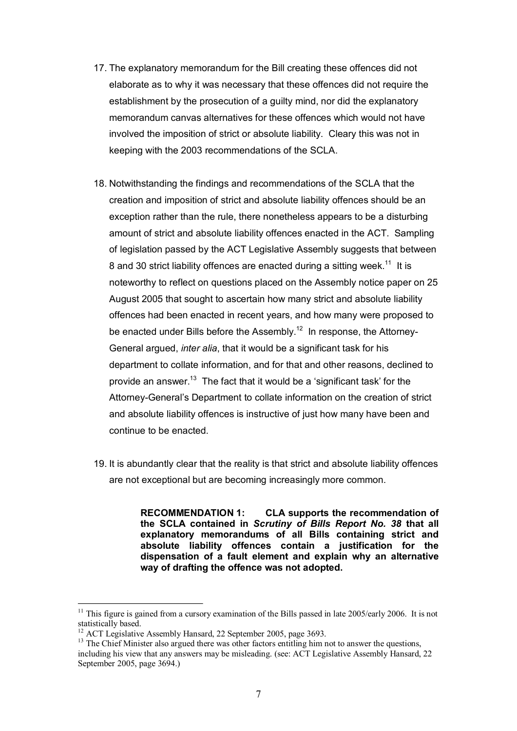- 17. The explanatory memorandum for the Bill creating these offences did not elaborate as to why it was necessary that these offences did not require the establishment by the prosecution of a guilty mind, nor did the explanatory memorandum canvas alternatives for these offences which would not have involved the imposition of strict or absolute liability. Cleary this was not in keeping with the 2003 recommendations of the SCLA.
- 18. Notwithstanding the findings and recommendations of the SCLA that the creation and imposition of strict and absolute liability offences should be an exception rather than the rule, there nonetheless appears to be a disturbing amount of strict and absolute liability offences enacted in the ACT. Sampling of legislation passed by the ACT Legislative Assembly suggests that between 8 and 30 strict liability offences are enacted during a sitting week.<sup>11</sup> It is noteworthy to reflect on questions placed on the Assembly notice paper on 25 August 2005 that sought to ascertain how many strict and absolute liability offences had been enacted in recent years, and how many were proposed to be enacted under Bills before the Assembly.<sup>12</sup> In response, the Attorney-General argued, *inter alia*, that it would be a significant task for his department to collate information, and for that and other reasons, declined to provide an answer.<sup>13</sup> The fact that it would be a 'significant task' for the Attorney-General's Department to collate information on the creation of strict and absolute liability offences is instructive of just how many have been and continue to be enacted.
- 19. It is abundantly clear that the reality is that strict and absolute liability offences are not exceptional but are becoming increasingly more common.

**RECOMMENDATION 1: CLA supports the recommendation of the SCLA contained in** *Scrutiny of Bills Report No. 38* **that all explanatory memorandums of all Bills containing strict and absolute liability offences contain a justification for the dispensation of a fault element and explain why an alternative way of drafting the offence was not adopted.**

<sup>&</sup>lt;sup>11</sup> This figure is gained from a cursory examination of the Bills passed in late 2005/early 2006. It is not statistically based.

<sup>&</sup>lt;sup>12</sup> ACT Legislative Assembly Hansard, 22 September 2005, page 3693. <sup>13</sup> The Chief Minister also argued there was other factors entitling him not to answer the questions, including his view that any answers may be misleading. (see: ACT Legislative Assembly Hansard, 22 September 2005, page 3694.)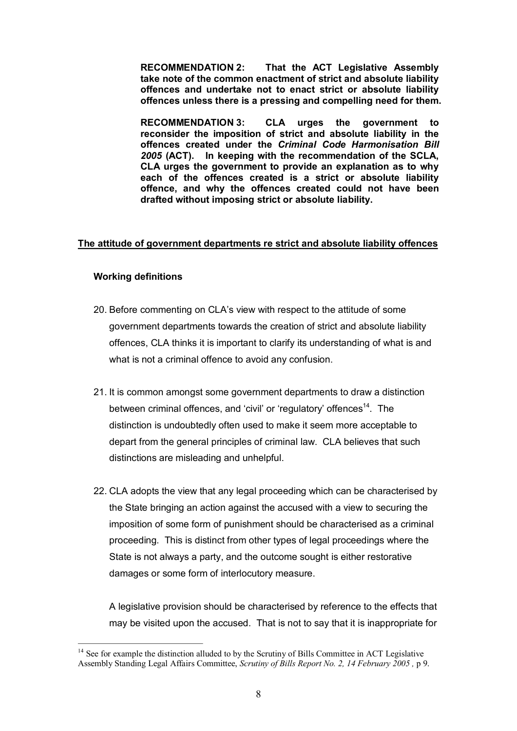**RECOMMENDATION 2: That the ACT Legislative Assembly take note of the common enactment of strict and absolute liability offences and undertake not to enact strict or absolute liability offences unless there is a pressing and compelling need for them.** 

**RECOMMENDATION 3: CLA urges the government to reconsider the imposition of strict and absolute liability in the offences created under the** *Criminal Code Harmonisation Bill 2005* **(ACT). In keeping with the recommendation of the SCLA, CLA urges the government to provide an explanation as to why each of the offences created is a strict or absolute liability offence, and why the offences created could not have been drafted without imposing strict or absolute liability.** 

#### **The attitude of government departments re strict and absolute liability offences**

#### **Working definitions**

- 20. Before commenting on CLA's view with respect to the attitude of some government departments towards the creation of strict and absolute liability offences, CLA thinks it is important to clarify its understanding of what is and what is not a criminal offence to avoid any confusion.
- 21. It is common amongst some government departments to draw a distinction between criminal offences, and 'civil' or 'regulatory' offences<sup>14</sup>. The distinction is undoubtedly often used to make it seem more acceptable to depart from the general principles of criminal law. CLA believes that such distinctions are misleading and unhelpful.
- 22. CLA adopts the view that any legal proceeding which can be characterised by the State bringing an action against the accused with a view to securing the imposition of some form of punishment should be characterised as a criminal proceeding. This is distinct from other types of legal proceedings where the State is not always a party, and the outcome sought is either restorative damages or some form of interlocutory measure.

A legislative provision should be characterised by reference to the effects that may be visited upon the accused. That is not to say that it is inappropriate for

<sup>&</sup>lt;sup>14</sup> See for example the distinction alluded to by the Scrutiny of Bills Committee in ACT Legislative Assembly Standing Legal Affairs Committee, *Scrutiny of Bills Report No. 2, 14 February 2005 ,* p 9.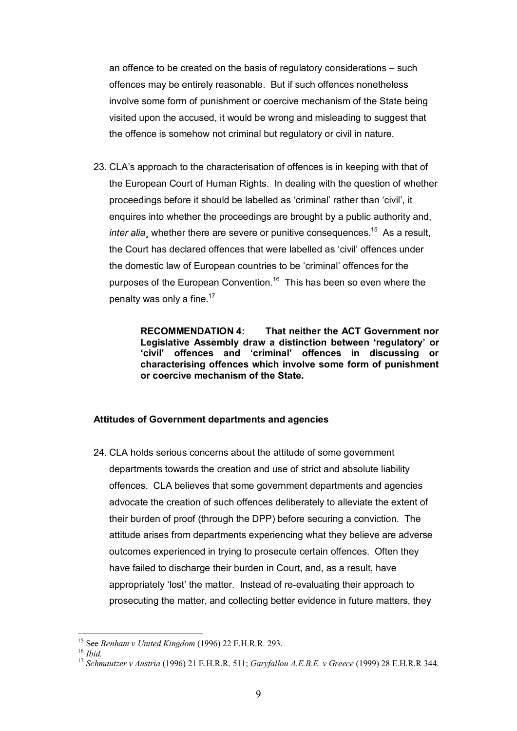an offence to be created on the basis of regulatory considerations – such offences may be entirely reasonable. But if such offences nonetheless involve some form of punishment or coercive mechanism of the State being visited upon the accused, it would be wrong and misleading to suggest that the offence is somehow not criminal but regulatory or civil in nature.

23. CLA's approach to the characterisation of offences is in keeping with that of the European Court of Human Rights. In dealing with the question of whether proceedings before it should be labelled as 'criminal' rather than 'civil', it enquires into whether the proceedings are brought by a public authority and, *inter alia*, whether there are severe or punitive consequences.<sup>15</sup> As a result, the Court has declared offences that were labelled as 'civil' offences under the domestic law of European countries to be 'criminal' offences for the purposes of the European Convention.<sup>16</sup> This has been so even where the penalty was only a fine. $17$ 

> **RECOMMENDATION 4: That neither the ACT Government nor Legislative Assembly draw a distinction between 'regulatory' or 'civil' offences and 'criminal' offences in discussing or characterising offences which involve some form of punishment or coercive mechanism of the State.**

#### **Attitudes of Government departments and agencies**

24. CLA holds serious concerns about the attitude of some government departments towards the creation and use of strict and absolute liability offences. CLA believes that some government departments and agencies advocate the creation of such offences deliberately to alleviate the extent of their burden of proof (through the DPP) before securing a conviction. The attitude arises from departments experiencing what they believe are adverse outcomes experienced in trying to prosecute certain offences. Often they have failed to discharge their burden in Court, and, as a result, have appropriately 'lost' the matter. Instead of re-evaluating their approach to prosecuting the matter, and collecting better evidence in future matters, they

<sup>&</sup>lt;sup>15</sup> See Benham v United Kingdom (1996) 22 E.H.R.R. 293.<br><sup>16</sup> Ibid.<br><sup>17</sup> Schmautzer v Austria (1996) 21 E.H.R.R. 511; Garyfallou A.E.B.E. v Greece (1999) 28 E.H.R.R 344.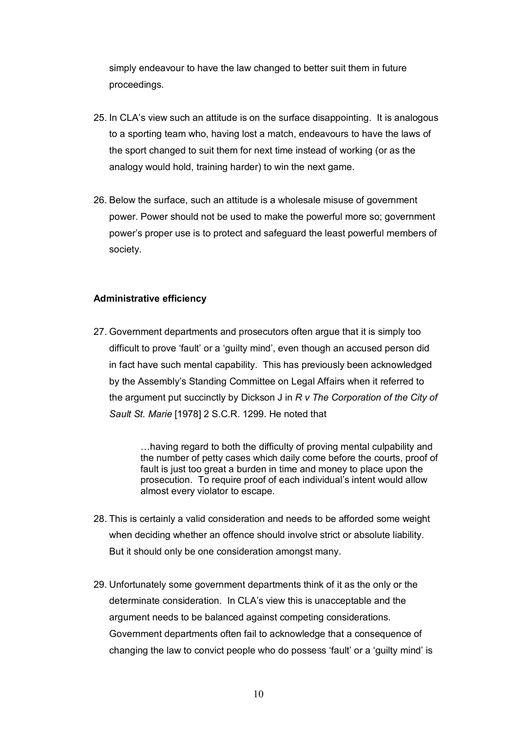simply endeavour to have the law changed to better suit them in future proceedings.

- 25. In CLA's view such an attitude is on the surface disappointing. It is analogous to a sporting team who, having lost a match, endeavours to have the laws of the sport changed to suit them for next time instead of working (or as the analogy would hold, training harder) to win the next game.
- 26. Below the surface, such an attitude is a wholesale misuse of government power. Power should not be used to make the powerful more so; government power's proper use is to protect and safeguard the least powerful members of society.

### **Administrative efficiency**

27. Government departments and prosecutors often argue that it is simply too difficult to prove 'fault' or a 'guilty mind', even though an accused person did in fact have such mental capability. This has previously been acknowledged by the Assembly's Standing Committee on Legal Affairs when it referred to the argument put succinctly by Dickson J in *R v The Corporation of the City of Sault St. Marie* [1978] 2 S.C.R. 1299. He noted that

> …having regard to both the difficulty of proving mental culpability and the number of petty cases which daily come before the courts, proof of fault is just too great a burden in time and money to place upon the prosecution. To require proof of each individual's intent would allow almost every violator to escape.

- 28. This is certainly a valid consideration and needs to be afforded some weight when deciding whether an offence should involve strict or absolute liability. But it should only be one consideration amongst many.
- 29. Unfortunately some government departments think of it as the only or the determinate consideration. In CLA's view this is unacceptable and the argument needs to be balanced against competing considerations. Government departments often fail to acknowledge that a consequence of changing the law to convict people who do possess 'fault' or a 'guilty mind' is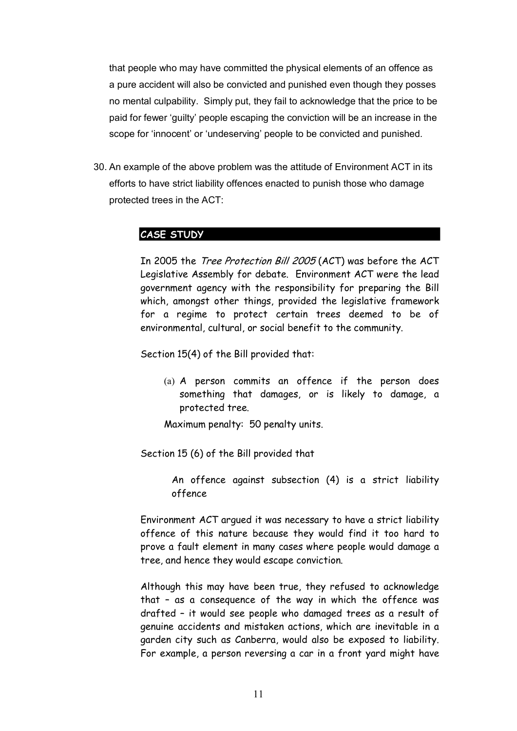that people who may have committed the physical elements of an offence as a pure accident will also be convicted and punished even though they posses no mental culpability. Simply put, they fail to acknowledge that the price to be paid for fewer 'guilty' people escaping the conviction will be an increase in the scope for 'innocent' or 'undeserving' people to be convicted and punished.

30. An example of the above problem was the attitude of Environment ACT in its efforts to have strict liability offences enacted to punish those who damage protected trees in the ACT:

# **CASE STUDY**

In 2005 the Tree Protection Bill 2005 (ACT) was before the ACT Legislative Assembly for debate. Environment ACT were the lead government agency with the responsibility for preparing the Bill which, amongst other things, provided the legislative framework for a regime to protect certain trees deemed to be of environmental, cultural, or social benefit to the community.

Section 15(4) of the Bill provided that:

(a) A person commits an offence if the person does something that damages, or is likely to damage, a protected tree.

Maximum penalty: 50 penalty units.

Section 15 (6) of the Bill provided that

An offence against subsection (4) is a strict liability offence

Environment ACT argued it was necessary to have a strict liability offence of this nature because they would find it too hard to prove a fault element in many cases where people would damage a tree, and hence they would escape conviction.

Although this may have been true, they refused to acknowledge that – as a consequence of the way in which the offence was drafted – it would see people who damaged trees as a result of genuine accidents and mistaken actions, which are inevitable in a garden city such as Canberra, would also be exposed to liability. For example, a person reversing a car in a front yard might have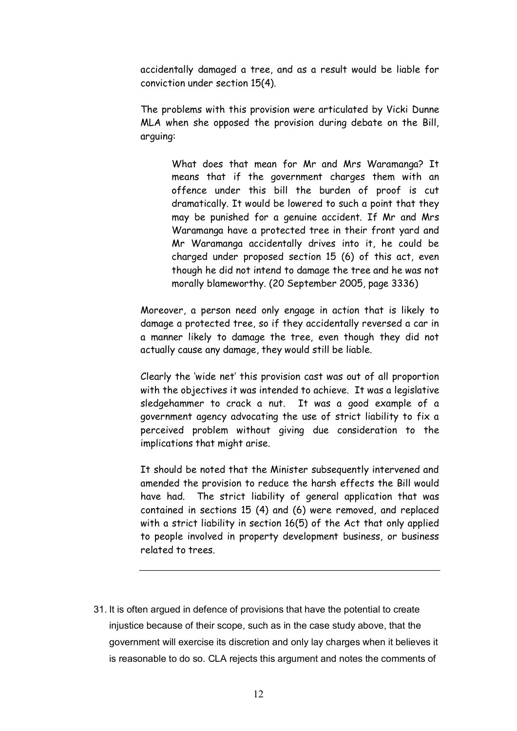accidentally damaged a tree, and as a result would be liable for conviction under section 15(4).

The problems with this provision were articulated by Vicki Dunne MLA when she opposed the provision during debate on the Bill, arguing:

> What does that mean for Mr and Mrs Waramanga? It means that if the government charges them with an offence under this bill the burden of proof is cut dramatically. It would be lowered to such a point that they may be punished for a genuine accident. If Mr and Mrs Waramanga have a protected tree in their front yard and Mr Waramanga accidentally drives into it, he could be charged under proposed section 15 (6) of this act, even though he did not intend to damage the tree and he was not morally blameworthy. (20 September 2005, page 3336)

Moreover, a person need only engage in action that is likely to damage a protected tree, so if they accidentally reversed a car in a manner likely to damage the tree, even though they did not actually cause any damage, they would still be liable.

Clearly the 'wide net' this provision cast was out of all proportion with the objectives it was intended to achieve. It was a legislative sledgehammer to crack a nut. It was a good example of a government agency advocating the use of strict liability to fix a perceived problem without giving due consideration to the implications that might arise.

It should be noted that the Minister subsequently intervened and amended the provision to reduce the harsh effects the Bill would have had. The strict liability of general application that was contained in sections 15 (4) and (6) were removed, and replaced with a strict liability in section 16(5) of the Act that only applied to people involved in property development business, or business related to trees.

31. It is often argued in defence of provisions that have the potential to create injustice because of their scope, such as in the case study above, that the government will exercise its discretion and only lay charges when it believes it is reasonable to do so. CLA rejects this argument and notes the comments of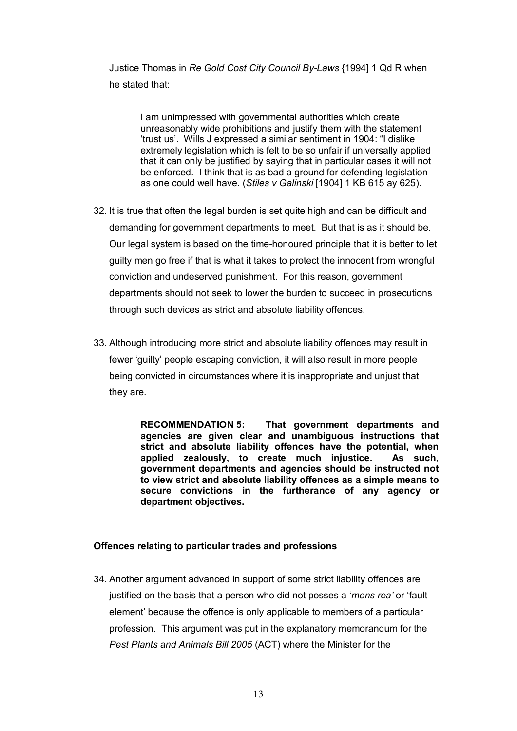Justice Thomas in *Re Gold Cost City Council ByLaws* {1994] 1 Qd R when he stated that:

I am unimpressed with governmental authorities which create unreasonably wide prohibitions and justify them with the statement 'trust us'. Wills J expressed a similar sentiment in 1904: "I dislike extremely legislation which is felt to be so unfair if universally applied that it can only be justified by saying that in particular cases it will not be enforced. I think that is as bad a ground for defending legislation as one could well have. (*Stiles v Galinski* [1904] 1 KB 615 ay 625).

- 32. It is true that often the legal burden is set quite high and can be difficult and demanding for government departments to meet. But that is as it should be. Our legal system is based on the time-honoured principle that it is better to let guilty men go free if that is what it takes to protect the innocent from wrongful conviction and undeserved punishment. For this reason, government departments should not seek to lower the burden to succeed in prosecutions through such devices as strict and absolute liability offences.
- 33. Although introducing more strict and absolute liability offences may result in fewer 'guilty' people escaping conviction, it will also result in more people being convicted in circumstances where it is inappropriate and unjust that they are.

**RECOMMENDATION 5: That government departments and agencies are given clear and unambiguous instructions that strict and absolute liability offences have the potential, when applied zealously, to create much injustice. As such, government departments and agencies should be instructed not to view strict and absolute liability offences as a simple means to secure convictions in the furtherance of any agency or department objectives.** 

#### **Offences relating to particular trades and professions**

34. Another argument advanced in support of some strict liability offences are justified on the basis that a person who did not posses a '*mens rea'* or 'fault element' because the offence is only applicable to members of a particular profession. This argument was put in the explanatory memorandum for the *Pest Plants and Animals Bill 2005* (ACT) where the Minister for the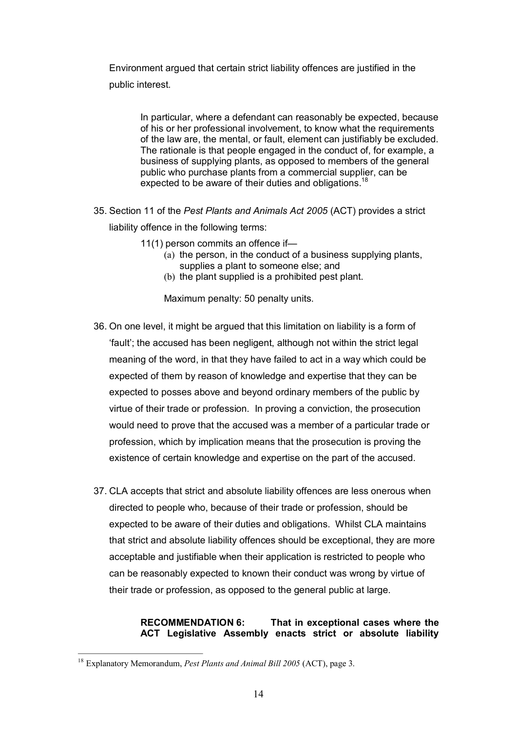Environment argued that certain strict liability offences are justified in the public interest.

> In particular, where a defendant can reasonably be expected, because of his or her professional involvement, to know what the requirements of the law are, the mental, or fault, element can justifiably be excluded. The rationale is that people engaged in the conduct of, for example, a business of supplying plants, as opposed to members of the general public who purchase plants from a commercial supplier, can be expected to be aware of their duties and obligations.<sup>18</sup>

35. Section 11 of the *Pest Plants and Animals Act 2005* (ACT) provides a strict

liability offence in the following terms:

- 11(1) person commits an [offence](http://www.austlii.edu.au/au/legis/act/consol_act/ppaaa2005231/s29.html) if—
	- (a) the person, in the [conduct](http://www.austlii.edu.au/au/legis/act/consol_act/ppaaa2005231/s6.html) of a business supplying plants, supplies a plant to someone else; and
	- (b) the plant supplied is a prohibited pest plant.

Maximum penalty: 50 penalty units.

- 36. On one level, it might be argued that this limitation on liability is a form of 'fault'; the accused has been negligent, although not within the strict legal meaning of the word, in that they have failed to act in a way which could be expected of them by reason of knowledge and expertise that they can be expected to posses above and beyond ordinary members of the public by virtue of their trade or profession. In proving a conviction, the prosecution would need to prove that the accused was a member of a particular trade or profession, which by implication means that the prosecution is proving the existence of certain knowledge and expertise on the part of the accused.
- 37. CLA accepts that strict and absolute liability offences are less onerous when directed to people who, because of their trade or profession, should be expected to be aware of their duties and obligations. Whilst CLA maintains that strict and absolute liability offences should be exceptional, they are more acceptable and justifiable when their application is restricted to people who can be reasonably expected to known their conduct was wrong by virtue of their trade or profession, as opposed to the general public at large.

#### **RECOMMENDATION 6: That in exceptional cases where the ACT Legislative Assembly enacts strict or absolute liability**

<sup>18</sup> Explanatory Memorandum, *Pest Plants and Animal Bill 2005* (ACT), page 3.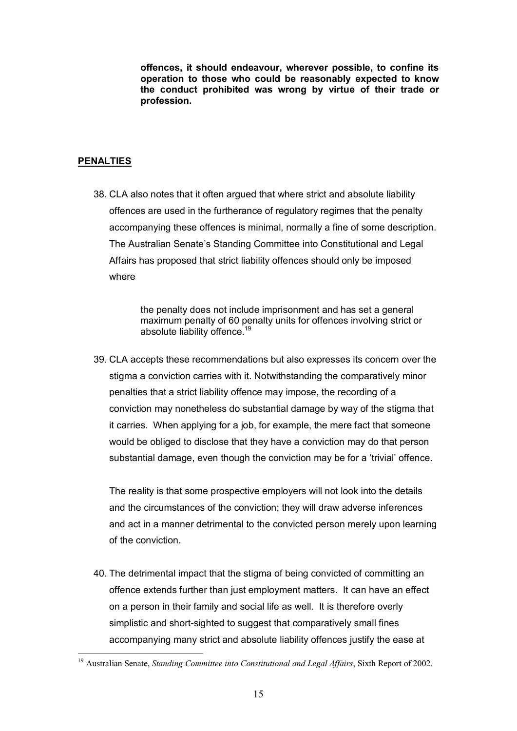**offences, it should endeavour, wherever possible, to confine its operation to those who could be reasonably expected to know the conduct prohibited was wrong by virtue of their trade or profession.** 

# **PENALTIES**

38. CLA also notes that it often argued that where strict and absolute liability offences are used in the furtherance of regulatory regimes that the penalty accompanying these offences is minimal, normally a fine of some description. The Australian Senate's Standing Committee into Constitutional and Legal Affairs has proposed that strict liability offences should only be imposed where

> the penalty does not include imprisonment and has set a general maximum penalty of 60 penalty units for offences involving strict or absolute liability offence.<sup>19</sup>

39. CLA accepts these recommendations but also expresses its concern over the stigma a conviction carries with it. Notwithstanding the comparatively minor penalties that a strict liability offence may impose, the recording of a conviction may nonetheless do substantial damage by way of the stigma that it carries. When applying for a job, for example, the mere fact that someone would be obliged to disclose that they have a conviction may do that person substantial damage, even though the conviction may be for a 'trivial' offence.

The reality is that some prospective employers will not look into the details and the circumstances of the conviction; they will draw adverse inferences and act in a manner detrimental to the convicted person merely upon learning of the conviction.

40. The detrimental impact that the stigma of being convicted of committing an offence extends further than just employment matters. It can have an effect on a person in their family and social life as well. It is therefore overly simplistic and short-sighted to suggest that comparatively small fines accompanying many strict and absolute liability offences justify the ease at

<sup>&</sup>lt;sup>19</sup> Australian Senate, *Standing Committee into Constitutional and Legal Affairs*, Sixth Report of 2002.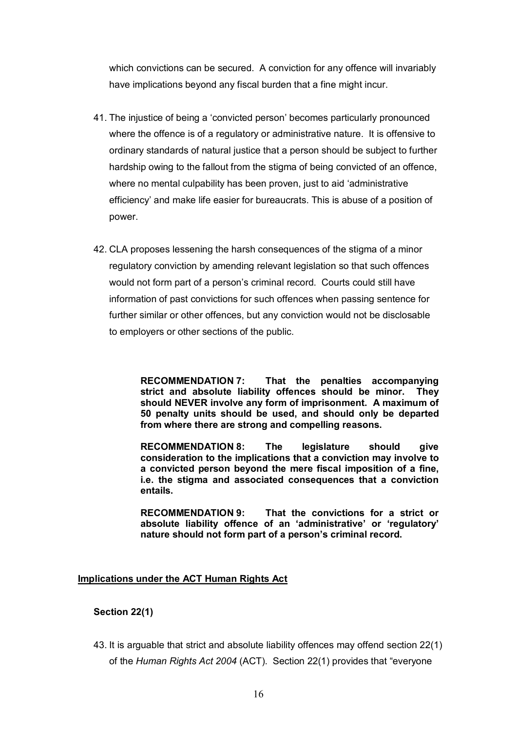which convictions can be secured. A conviction for any offence will invariably have implications beyond any fiscal burden that a fine might incur.

- 41. The injustice of being a 'convicted person' becomes particularly pronounced where the offence is of a regulatory or administrative nature. It is offensive to ordinary standards of natural justice that a person should be subject to further hardship owing to the fallout from the stigma of being convicted of an offence, where no mental culpability has been proven, just to aid 'administrative efficiency' and make life easier for bureaucrats. This is abuse of a position of power.
- 42. CLA proposes lessening the harsh consequences of the stigma of a minor regulatory conviction by amending relevant legislation so that such offences would not form part of a person's criminal record. Courts could still have information of past convictions for such offences when passing sentence for further similar or other offences, but any conviction would not be disclosable to employers or other sections of the public.

**RECOMMENDATION 7: That the penalties accompanying strict and absolute liability offences should be minor. They should NEVER involve any form of imprisonment. A maximum of 50 penalty units should be used, and should only be departed from where there are strong and compelling reasons.** 

**RECOMMENDATION 8: The legislature should give consideration to the implications that a conviction may involve to a convicted person beyond the mere fiscal imposition of a fine, i.e. the stigma and associated consequences that a conviction entails.** 

**RECOMMENDATION 9: That the convictions for a strict or absolute liability offence of an 'administrative' or 'regulatory' nature should not form part of a person's criminal record.** 

#### **Implications under the ACT Human Rights Act**

### **Section 22(1)**

43. It is arguable that strict and absolute liability offences may offend section 22(1) of the *Human Rights Act 2004* (ACT). Section 22(1) provides that "everyone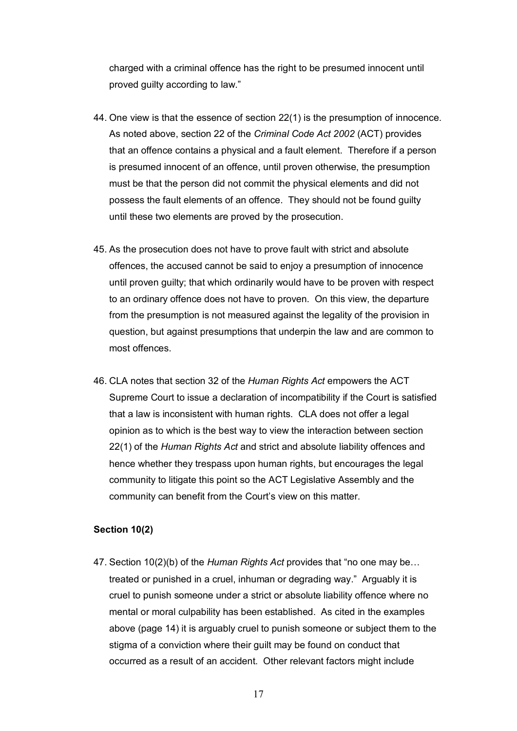charged with a criminal offence has the right to be presumed innocent until proved guilty according to law."

- 44. One view is that the essence of section 22(1) is the presumption of innocence. As noted above, section 22 of the *Criminal Code Act 2002* (ACT) provides that an offence contains a physical and a fault element. Therefore if a person is presumed innocent of an offence, until proven otherwise, the presumption must be that the person did not commit the physical elements and did not possess the fault elements of an offence. They should not be found guilty until these two elements are proved by the prosecution.
- 45. As the prosecution does not have to prove fault with strict and absolute offences, the accused cannot be said to enjoy a presumption of innocence until proven guilty; that which ordinarily would have to be proven with respect to an ordinary offence does not have to proven. On this view, the departure from the presumption is not measured against the legality of the provision in question, but against presumptions that underpin the law and are common to most offences.
- 46. CLA notes that section 32 of the *Human Rights Act* empowers the ACT Supreme Court to issue a declaration of incompatibility if the Court is satisfied that a law is inconsistent with human rights. CLA does not offer a legal opinion as to which is the best way to view the interaction between section 22(1) of the *Human Rights Act* and strict and absolute liability offences and hence whether they trespass upon human rights, but encourages the legal community to litigate this point so the ACT Legislative Assembly and the community can benefit from the Court's view on this matter.

### **Section 10(2)**

47. Section 10(2)(b) of the *Human Rights Act* provides that "no one may be… treated or punished in a cruel, inhuman or degrading way." Arguably it is cruel to punish someone under a strict or absolute liability offence where no mental or moral culpability has been established. As cited in the examples above (page 14) it is arguably cruel to punish someone or subject them to the stigma of a conviction where their guilt may be found on conduct that occurred as a result of an accident. Other relevant factors might include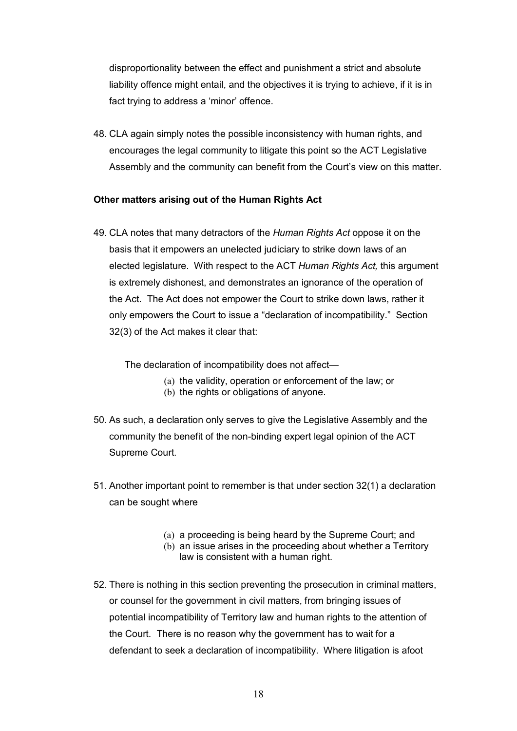disproportionality between the effect and punishment a strict and absolute liability offence might entail, and the objectives it is trying to achieve, if it is in fact trying to address a 'minor' offence.

48. CLA again simply notes the possible inconsistency with human rights, and encourages the legal community to litigate this point so the ACT Legislative Assembly and the community can benefit from the Court's view on this matter.

### **Other matters arising out of the Human Rights Act**

49. CLA notes that many detractors of the *Human Rights Act* oppose it on the basis that it empowers an unelected judiciary to strike down laws of an elected legislature. With respect to the ACT *Human Rights Act,* this argument is extremely dishonest, and demonstrates an ignorance of the operation of the Act. The Act does not empower the Court to strike down laws, rather it only empowers the Court to issue a "declaration of incompatibility." Section 32(3) of the Act makes it clear that:

The declaration of incompatibility does not affect—

- (a) the validity, operation or enforcement of the law; or
- (b) the rights or obligations of anyone.
- 50. As such, a declaration only serves to give the Legislative Assembly and the community the benefit of the non-binding expert legal opinion of the ACT Supreme Court.
- 51. Another important point to remember is that under section 32(1) a declaration can be sought where
	- (a) a proceeding is being heard by the Supreme Court; and
	- (b) an issue arises in the proceeding about whether a Territory law is consistent with a human right.
- 52. There is nothing in this section preventing the prosecution in criminal matters, or counsel for the government in civil matters, from bringing issues of potential incompatibility of Territory law and human rights to the attention of the Court. There is no reason why the government has to wait for a defendant to seek a declaration of incompatibility. Where litigation is afoot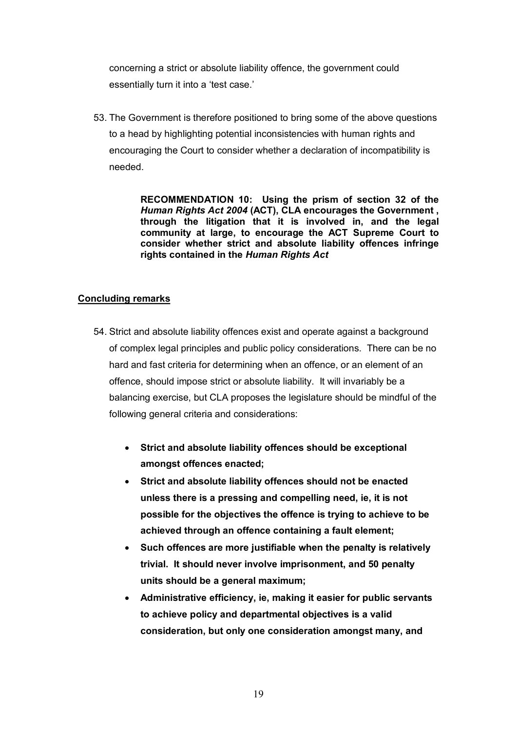concerning a strict or absolute liability offence, the government could essentially turn it into a 'test case.'

53. The Government is therefore positioned to bring some of the above questions to a head by highlighting potential inconsistencies with human rights and encouraging the Court to consider whether a declaration of incompatibility is needed.

> **RECOMMENDATION 10: Using the prism of section 32 of the** *Human Rights Act 2004* **(ACT), CLA encourages the Government , through the litigation that it is involved in, and the legal community at large, to encourage the ACT Supreme Court to consider whether strict and absolute liability offences infringe rights contained in the** *Human Rights Act*

### **Concluding remarks**

- 54. Strict and absolute liability offences exist and operate against a background of complex legal principles and public policy considerations. There can be no hard and fast criteria for determining when an offence, or an element of an offence, should impose strict or absolute liability. It will invariably be a balancing exercise, but CLA proposes the legislature should be mindful of the following general criteria and considerations:
	- · **Strict and absolute liability offences should be exceptional amongst offences enacted;**
	- · **Strict and absolute liability offences should not be enacted unless there is a pressing and compelling need, ie, it is not possible for the objectives the offence is trying to achieve to be achieved through an offence containing a fault element;**
	- · **Such offences are more justifiable when the penalty is relatively trivial. It should never involve imprisonment, and 50 penalty units should be a general maximum;**
	- · **Administrative efficiency, ie, making it easier for public servants to achieve policy and departmental objectives is a valid consideration, but only one consideration amongst many, and**